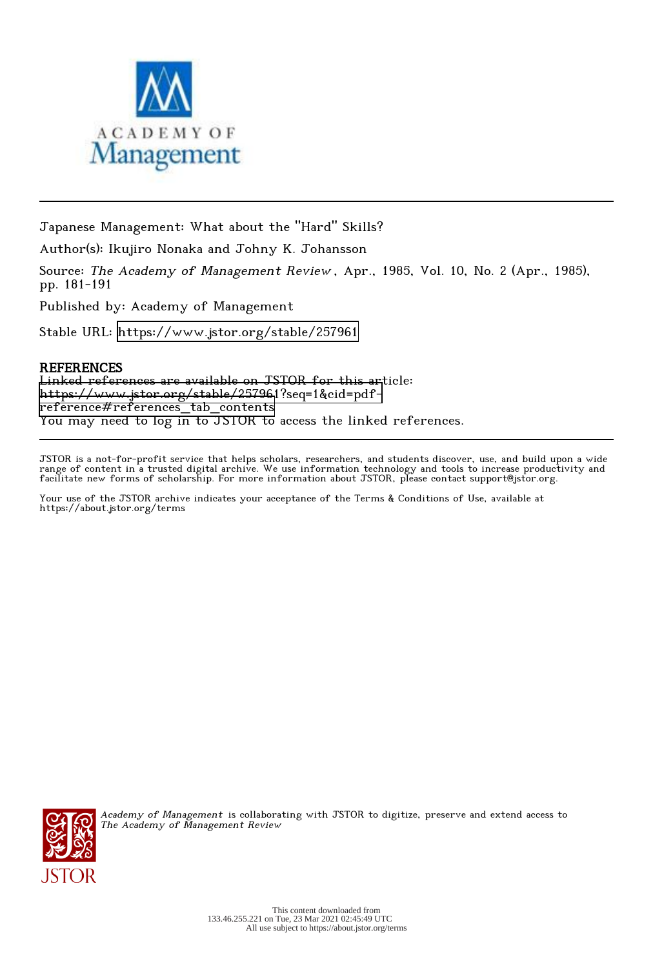

Japanese Management: What about the "Hard" Skills?

Author(s): Ikujiro Nonaka and Johny K. Johansson

Source: The Academy of Management Review , Apr., 1985, Vol. 10, No. 2 (Apr., 1985), pp. 181-191

Published by: Academy of Management

Stable URL:<https://www.jstor.org/stable/257961>

# REFERENCES

Linked references are available on JSTOR for this article: [https://www.jstor.org/stable/257961?seq=1&cid=pdf](https://www.jstor.org/stable/257961?seq=1&cid=pdf-reference#references_tab_contents)[reference#references\\_tab\\_contents](https://www.jstor.org/stable/257961?seq=1&cid=pdf-reference#references_tab_contents) You may need to log in to JSTOR to access the linked references.

JSTOR is a not-for-profit service that helps scholars, researchers, and students discover, use, and build upon a wide range of content in a trusted digital archive. We use information technology and tools to increase productivity and facilitate new forms of scholarship. For more information about JSTOR, please contact support@jstor.org.

Your use of the JSTOR archive indicates your acceptance of the Terms & Conditions of Use, available at https://about.jstor.org/terms



Academy of Management is collaborating with JSTOR to digitize, preserve and extend access to The Academy of Management Review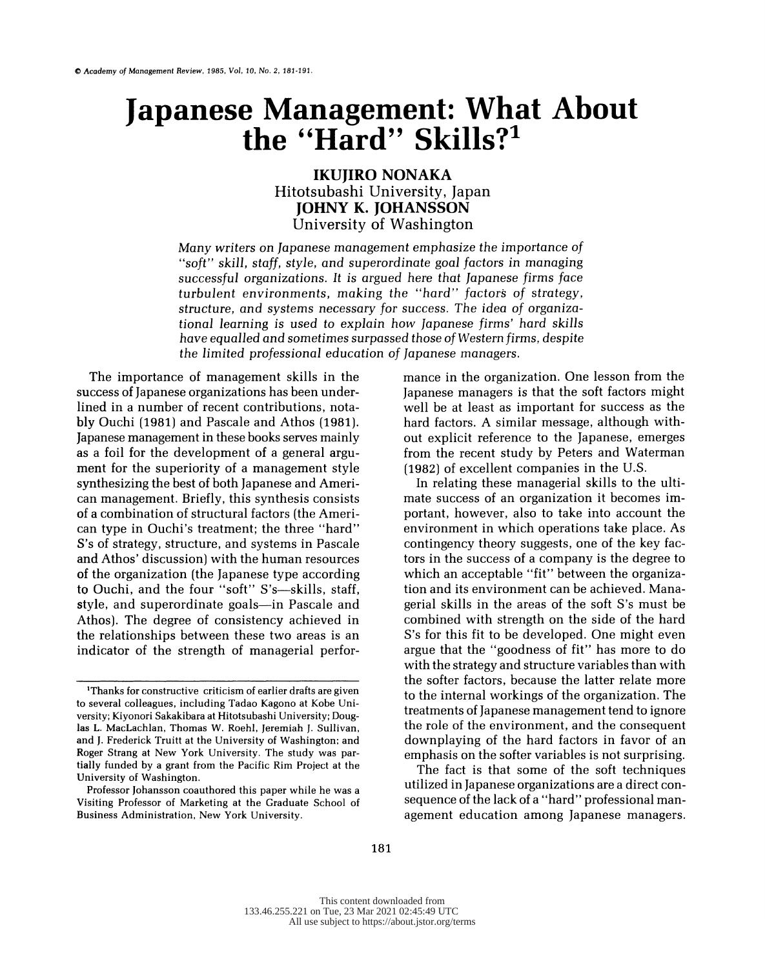# Japanese Management: What About the "Hard" Skills?<sup>1</sup>

# IKUJIRO NONAKA Hitotsubashi University, Japan JOHNY K. JOHANSSON University of Washington

 Many writers on Japanese management emphasize the importance of "soft" skill, staff, style, and superordinate goal factors in managing successful organizations. It is argued here that Japanese firms face turbulent environments, making the "hard" factors of strategy, structure, and systems necessary for success. The idea of organiza tional learning is used to explain how Japanese firms' hard skills have equalled and sometimes surpassed those of Western firms, despite the limited professional education of Japanese managers.

 The importance of management skills in the success of Japanese organizations has been under lined in a number of recent contributions, nota bly Ouchi (1981) and Pascale and Athos (1981). Japanese management in these books serves mainly as a foil for the development of a general argu ment for the superiority of a management style synthesizing the best of both Japanese and Ameri can management. Briefly, this synthesis consists of a combination of structural factors (the Ameri can type in Ouchi's treatment; the three "hard" S's of strategy, structure, and systems in Pascale and Athos' discussion) with the human resources of the organization (the Japanese type according to Ouchi, and the four "soft" S's-skills, staff, style, and superordinate goals—in Pascale and Athos). The degree of consistency achieved in the relationships between these two areas is an indicator of the strength of managerial perfor mance in the organization. One lesson from the Japanese managers is that the soft factors might well be at least as important for success as the hard factors. A similar message, although with out explicit reference to the Japanese, emerges from the recent study by Peters and Waterman (1982) of excellent companies in the U.S.

 In relating these managerial skills to the ulti mate success of an organization it becomes im portant, however, also to take into account the environment in which operations take place. As contingency theory suggests, one of the key fac tors in the success of a company is the degree to which an acceptable "fit" between the organiza tion and its environment can be achieved. Mana gerial skills in the areas of the soft S's must be combined with strength on the side of the hard S's for this fit to be developed. One might even argue that the "goodness of fit" has more to do with the strategy and structure variables than with the softer factors, because the latter relate more to the internal workings of the organization. The treatments of Japanese management tend to ignore the role of the environment, and the consequent downplaying of the hard factors in favor of an emphasis on the softer variables is not surprising.

 The fact is that some of the soft techniques utilized in Japanese organizations are a direct con sequence of the lack of a "hard" professional man agement education among Japanese managers.

<sup>&</sup>lt;sup>1</sup>Thanks for constructive criticism of earlier drafts are given to several colleagues, including Tadao Kagono at Kobe Uni versity; Kiyonori Sakakibara at Hitotsubashi University; Doug las L. MacLachlan, Thomas W. Roehl, Jeremiah J. Sullivan, and J. Frederick Truitt at the University of Washington; and Roger Strang at New York University. The study was par tially funded by a grant from the Pacific Rim Project at the University of Washington.

Professor Johansson coauthored this paper while he was a Visiting Professor of Marketing at the Graduate School of Business Administration, New York University.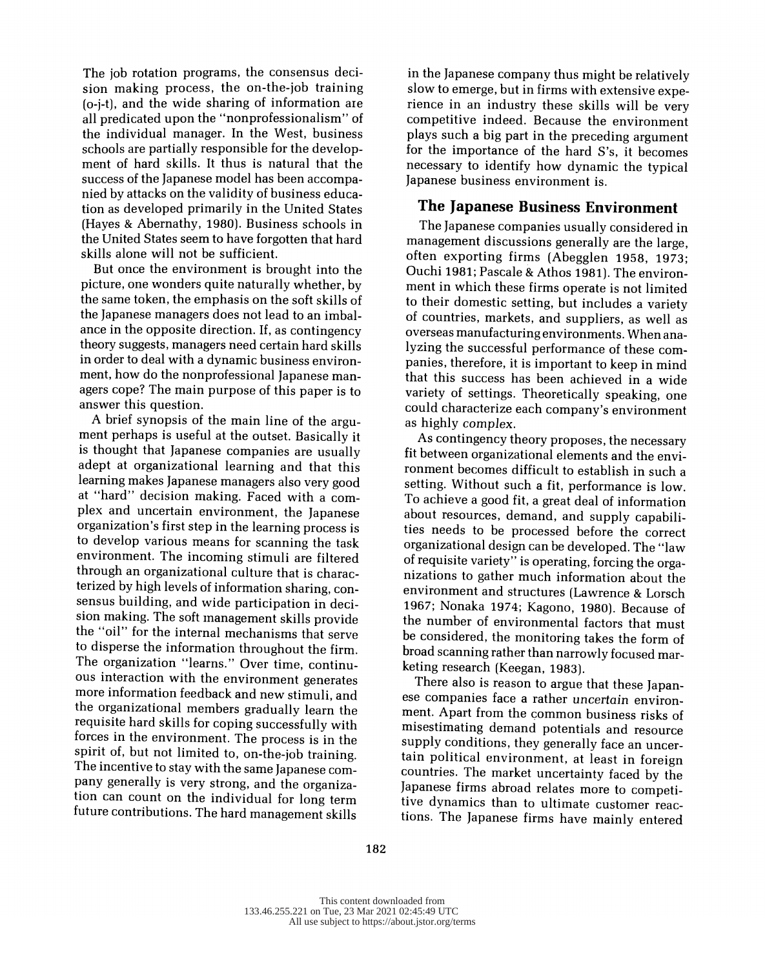The job rotation programs, the consensus deci sion making process, the on-the-job training (o-j-t), and the wide sharing of information aie all predicated upon the "nonprofessionalism" of the individual manager. In the West, business schools are partially responsible for the develop ment of hard skills. It thus is natural that the success of the Japanese model has been accompa nied by attacks on the validity of business educa tion as developed primarily in the United States (Hayes & Abernathy, 1980). Business schools in the United States seem to have forgotten that hard skills alone will not be sufficient.

 But once the environment is brought into the picture, one wonders quite naturally whether, by the same token, the emphasis on the soft skills of the Japanese managers does not lead to an imbal ance in the opposite direction. If, as contingency theory suggests, managers need certain hard skills in order to deal with a dynamic business environ ment, how do the nonprofessional Japanese man agers cope? The main purpose of this paper is to answer this question.

 A brief synopsis of the main line of the argu ment perhaps is useful at the outset. Basically it is thought that Japanese companies are usually adept at organizational learning and that this learning makes Japanese managers also very good at "hard" decision making. Faced with a com plex and uncertain environment, the Japanese organization's first step in the learning process is to develop various means for scanning the task environment. The incoming stimuli are filtered through an organizational culture that is charac terized by high levels of information sharing, con sensus building, and wide participation in deci sion making. The soft inanagement skills provide the "oil" for the internal mechanisms that serve to disperse the information throughout the firm. The organization "learns." Over time, continu ous interaction with the environment generates more information feedback and new stimuli, and the organizational members gradually learn the requisite hard skills for coping successfully with forces in the environment. The process is in the spirit of, but not limited to, on-the-job training. The incentive to stay with the same Japanese com pany generally is very strong, and the organiza tion can count on the individual for long term future contributions. The hard management skills

 in the Japanese company thus might be relatively slow to emerge, but in firms with extensive expe rience in an industry these skills will be very competitive indeed. Because the environment plays such a big part in the preceding argument for the importance of the hard S's, it becomes necessary to identify how dynamic the typical Japanese business environment is.

## The Japanese Business Environment

 The Japanese companies usually considered in management discussions generally are the large, often exporting firms (Abegglen 1958, 1973; Ouchi 1981; Pascale & Athos 1981). The environ ment in which these firms operate is not limited to their domestic setting, but includes a variety of countries, markets, and suppliers, as well as overseas manufacturing environments. When ana lyzing the successful performance of these com panies, therefore, it is important to keep in mind that this success has been achieved in a wide variety of settings. Theoretically speaking, one could characterize each company's environment as highly complex.

 As contingency theory proposes, the necessary fit between organizational elements and the envi ronment becomes difficult to establish in such a setting. Without such a fit, performance is low. To achieve a good fit, a great deal of information about resources, demand, and supply capabili ties needs to be processed before the correct organizational design can be developed. The "law of requisite variety" is operating, forcing the orga nizations to gather much information about the environment and structures (Lawrence & Lorsch 1967; Nonaka 1974; Kagono, 1980). Because of the number of environmental factors that must be considered, the monitoring takes the form of broad scanning rather than narrowly focused mar keting research (Keegan, 1983).

 There also is reason to argue that these Japan ese companies face a rather uncertain environ ment. Apart from the common business risks of misestimating demand potentials and resource supply conditions, they generally face an uncer tain political environment, at least in foreign countries. The market uncertainty faced by the Japanese firms abroad relates more to competi tive dynamics than to ultimate customer reac tions. The Japanese firms have mainly entered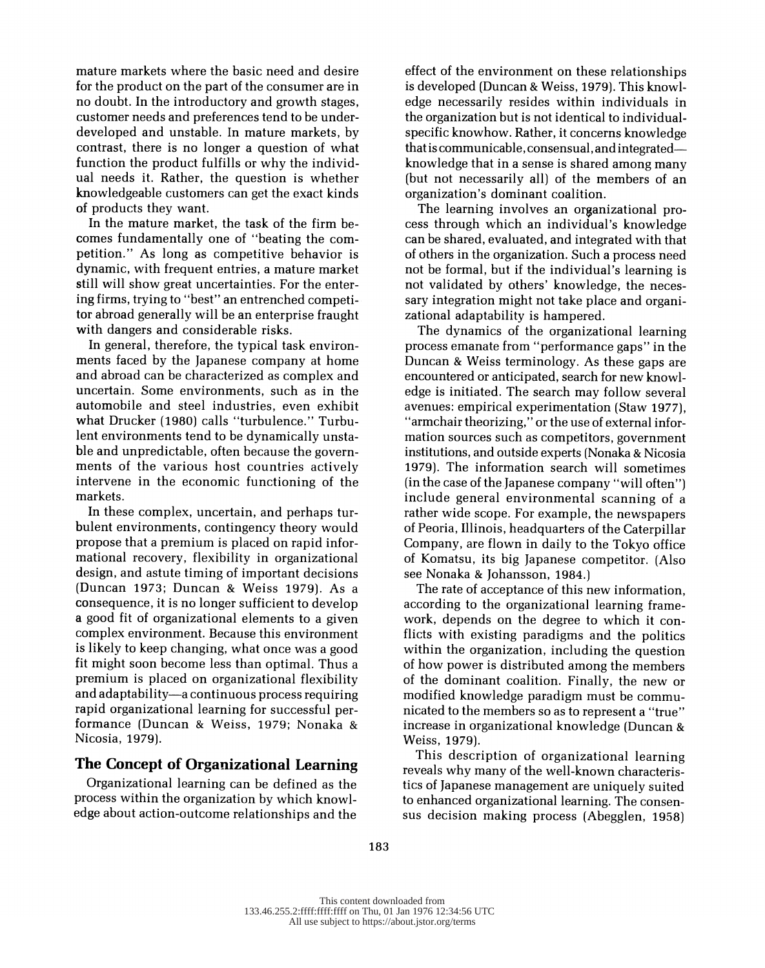mature markets where the basic need and desire for the product on the part of the consumer are in no doubt. In the introductory and growth stages, customer needs and preferences tend to be under developed and unstable. In mature markets, by contrast, there is no longer a question of what function the product fulfills or why the individ ual needs it. Rather, the question is whether knowledgeable customers can get the exact kinds of products they want.

 In the mature market, the task of the firm be comes fundamentally one of "beating the com petition." As long as competitive behavior is dynamic, with frequent entries, a mature market still will show great uncertainties. For the enter ing firms, trying to "best" an entrenched competi tor abroad generally will be an enterprise fraught with dangers and considerable risks.

 In general, therefore, the typical task environ ments faced by the Japanese company at home and abroad can be characterized as complex and uncertain. Some environments, such as in the automobile and steel industries, even exhibit what Drucker (1980) calls "turbulence." Turbu lent environments tend to be dynamically unsta ble and unpredictable, often because the govern ments of the various host countries actively intervene in the economic functioning of the markets.

 In these complex, uncertain, and perhaps tur bulent environments, contingency theory would propose that a premium is placed on rapid infor mational recovery, flexibility in organizational design, and astute timing of important decisions (Duncan 1973; Duncan & Weiss 1979). As a consequence, it is no longer sufficient to develop a good fit of organizational elements to a given complex environment. Because this environment is likely to keep changing, what once was a good fit might soon become less than optimal. Thus a premium is placed on organizational flexibility and adaptability-a continuous process requiring rapid organizational learning for successful per formance (Duncan & Weiss, 1979; Nonaka & Nicosia, 1979).

# The Concept of Organizational Learning

 Organizational learning can be defined as the process within the organization by which knowl edge about action-outcome relationships and the

 effect of the environment on these relationships is developed (Duncan & Weiss, 1979). This knowl edge necessarily resides within individuals in the organization but is not identical to individual specific knowhow. Rather, it concerns knowledge that is communicable, consensual, and integrated knowledge that in a sense is shared among many (but not necessarily all) of the members of an organization's dominant coalition.

 The learning involves an organizational pro cess through which an individual's knowledge can be shared, evaluated, and integrated with that of others in the organization. Such a process need not be formal, but if the individual's learning is not validated by others' knowledge, the neces sary integration might not take place and organi zational adaptability is hampered.

 The dynamics of the organizational learning process emanate from "performance gaps" in the Duncan & Weiss terminology. As these gaps are encountered or anticipated, search for new knowl edge is initiated. The search may follow several avenues: empirical experimentation (Staw 1977), "armchair theorizing," or the use of external infor mation sources such as competitors, government institutions, and outside experts (Nonaka & Nicosia 1979). The information search will sometimes (in the case of the Japanese company "will often") include general environmental scanning of a rather wide scope. For example, the newspapers of Peoria, Illinois, headquarters of the Caterpillar Company, are flown in daily to the Tokyo office of Komatsu, its big Japanese competitor. (Also see Nonaka & Johansson, 1984.)

 The rate of acceptance of this new information, according to the organizational learning frame work, depends on the degree to which it con flicts with existing paradigms and the politics within the organization, including the question of how power is distributed among the members of the dominant coalition. Finally, the new or modified knowledge paradigm must be commu nicated to the members so as to represent a "true" increase in organizational knowledge (Duncan & Weiss, 1979).

 This description of organizational learning reveals why many of the well-known characteris tics of Japanese management are uniquely suited to enhanced organizational learning. The consen sus decision making process (Abegglen, 1958)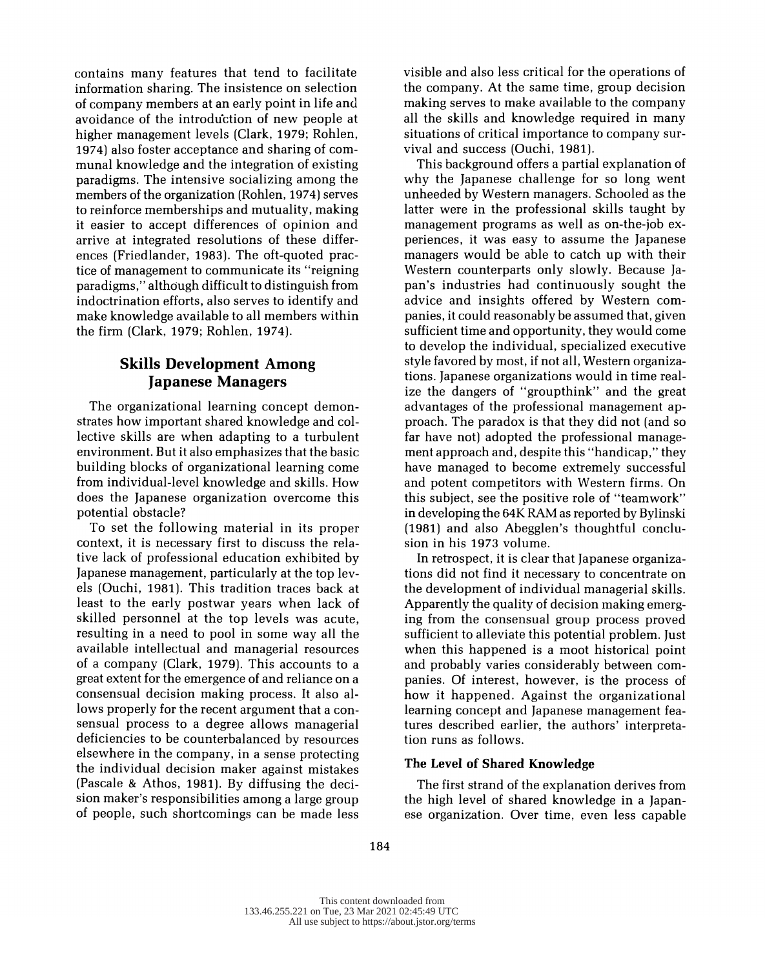contains many features that tend to facilitate information sharing. The insistence on selection of company members at an early point in life and avoidance of the introduction of new people at higher management levels (Clark, 1979; Rohlen, 1974) also foster acceptance and sharing of com munal knowledge and the integration of existing paradigms. The intensive socializing among the members of the organization (Rohlen, 1974) serves to reinforce memberships and mutuality, making it easier to accept differences of opinion and arrive at integrated resolutions of these differ ences (Friedlander, 1983). The oft-quoted prac tice of management to communicate its "reigning paradigms," although difficult to distinguish from indoctrination efforts, also serves to identify and make knowledge available to all members within the firm (Clark, 1979; Rohlen, 1974).

# Skills Development Among Japanese Managers

 The organizational learning concept demon strates how important shared knowledge and col lective skills are when adapting to a turbulent environment. But it also emphasizes that the basic building blocks of organizational learning come from individual-level knowledge and skills. How does the Japanese organization overcome this potential obstacle?

 To set the following material in its proper context, it is necessary first to discuss the rela tive lack of professional education exhibited by Japanese management, particularly at the top lev els (Ouchi, 1981). This tradition traces back at least to the early postwar years when lack of skilled personnel at the top levels was acute, resulting in a need to pool in some way all the available intellectual and managerial resources of a company (Clark, 1979). This accounts to a great extent for the emergence of and reliance on a consensual decision making process. It also al lows properly for the recent argument that a con sensual process to a degree allows managerial deficiencies to be counterbalanced by resources elsewhere in the company, in a sense protecting the individual decision maker against mistakes (Pascale & Athos, 1981). By diffusing the deci sion maker's responsibilities among a large group of people, such shortcomings can be made less  visible and also less critical for the operations of the company. At the same time, group decision making serves to make available to the company all the skills and knowledge required in many situations of critical importance to company sur vival and success (Ouchi, 1981).

 This background offers a partial explanation of why the Japanese challenge for so long went unheeded by Western managers. Schooled as the latter were in the professional skills taught by management programs as well as on-the-job ex periences, it was easy to assume the Japanese managers would be able to catch up with their Western counterparts only slowly. Because Ja pan's industries had continuously sought the advice and insights offered by Western com panies, it could reasonably be assumed that, given sufficient time and opportunity, they would come to develop the individual, specialized executive style favored by most, if not all, Western organiza tions. Japanese organizations would in time real ize the dangers of "groupthink" and the great advantages of the professional management ap proach. The paradox is that they did not (and so far have not) adopted the professional manage ment approach and, despite this "handicap," they have managed to become extremely successful and potent competitors with Western firms. On this subject, see the positive role of "teamwork" in developing the 64K RAM as reported by Bylinski (1981) and also Abegglen's thoughtful conclu sion in his 1973 volume.

 In retrospect, it is clear that Japanese organiza tions did not find it necessary to concentrate on the development of individual managerial skills. Apparently the quality of decision making emerg ing from the consensual group process proved sufficient to alleviate this potential problem. Just when this happened is a moot historical point and probably varies considerably between com panies. Of interest, however, is the process of how it happened. Against the organizational learning concept and Japanese management fea tures described earlier, the authors' interpreta tion runs as follows.

## The Level of Shared Knowledge

 The first strand of the explanation derives from the high level of shared knowledge in a Japan ese organization. Over time, even less capable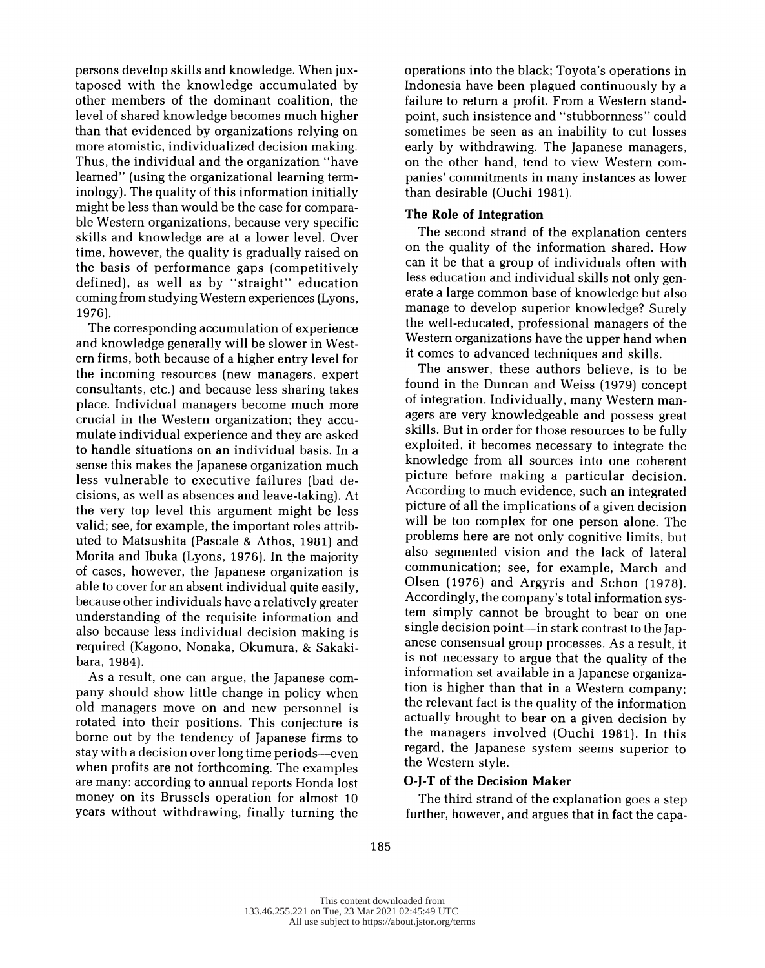persons develop skills and knowledge. When jux taposed with the knowledge accumulated by other members of the dominant coalition, the level of shared knowledge becomes much higher than that evidenced by organizations relying on more atomistic, individualized decision making. Thus, the individual and the organization "have learned" (using the organizational learning term inology). The quality of this information initially might be less than would be the case for compara ble Western organizations, because very specific skills and knowledge are at a lower level. Over time, however, the quality is gradually raised on the basis of performance gaps (competitively defined), as well as by "straight" education coming from studying Western experiences (Lyons, 1976).

 The corresponding accumulation of experience and knowledge generally will be slower in West ern firms, both because of a higher entry level for the incoming resources (new managers, expert consultants, etc.) and because less sharing takes place. Individual managers become much more crucial in the Western organization; they accu mulate individual experience and they are asked to handle situations on an individual basis. In a sense this makes the Japanese organization much less vulnerable to executive failures (bad de cisions, as well as absences and leave-taking). At the very top level this argument might be less valid; see, for example, the important roles attrib uted to Matsushita (Pascale & Athos, 1981) and Morita and Ibuka (Lyons, 1976). In the majority of cases, however, the Japanese organization is able to cover for an absent individual quite easily, because other individuals have a relatively greater understanding of the requisite information and also because less individual decision making is required (Kagono, Nonaka, Okumura, & Sakaki bara, 1984).

 As a result, one can argue, the Japanese com pany should show little change in policy when old managers move on and new personnel is rotated into their positions. This conjecture is borne out by the tendency of Japanese firms to stay with a decision over long time periods-even when profits are not forthcoming. The examples are many: according to annual reports Honda lost money on its Brussels operation for almost 10 years without withdrawing, finally turning the

 operations into the black; Toyota's operations in Indonesia have been plagued continuously by a failure to return a profit. From a Western stand point, such insistence and "stubbornness" could sometimes be seen as an inability to cut losses early by withdrawing. The Japanese managers, on the other hand, tend to view Western com panies' commitments in many instances as lower than desirable (Ouchi 1981).

### The Role of Integration

 The second strand of the explanation centers on the quality of the information shared. How can it be that a group of individuals often with less education and individual skills not only gen erate a large common base of knowledge but also manage to develop superior knowledge? Surely the well-educated, professional managers of the Western organizations have the upper hand when it comes to advanced techniques and skills.

 The answer, these authors believe, is to be found in the Duncan and Weiss (1979) concept of integration. Individually, many Western man agers are very knowledgeable and possess great skills. But in order for those resources to be fully exploited, it becomes necessary to integrate the knowledge from all sources into one coherent picture before making a particular decision. According to much evidence, such an integrated picture of all the implications of a given decision will be too complex for one person alone. The problems here are not only cognitive limits, but also segmented vision and the lack of lateral communication; see, for example, March and Olsen (1976) and Argyris and Schon (1978). Accordingly, the company's total information sys tem simply cannot be brought to bear on one single decision point—in stark contrast to the Jap anese consensual group processes. As a result, it is not necessary to argue that the quality of the information set available in a Japanese organiza tion is higher than that in a Western company; the relevant fact is the quality of the information actually brought to bear on a given decision by the managers involved (Ouchi 1981). In this regard, the Japanese system seems superior to the Western style.

#### O-J-T of the Decision Maker

 The third strand of the explanation goes a step further, however, and argues that in fact the capa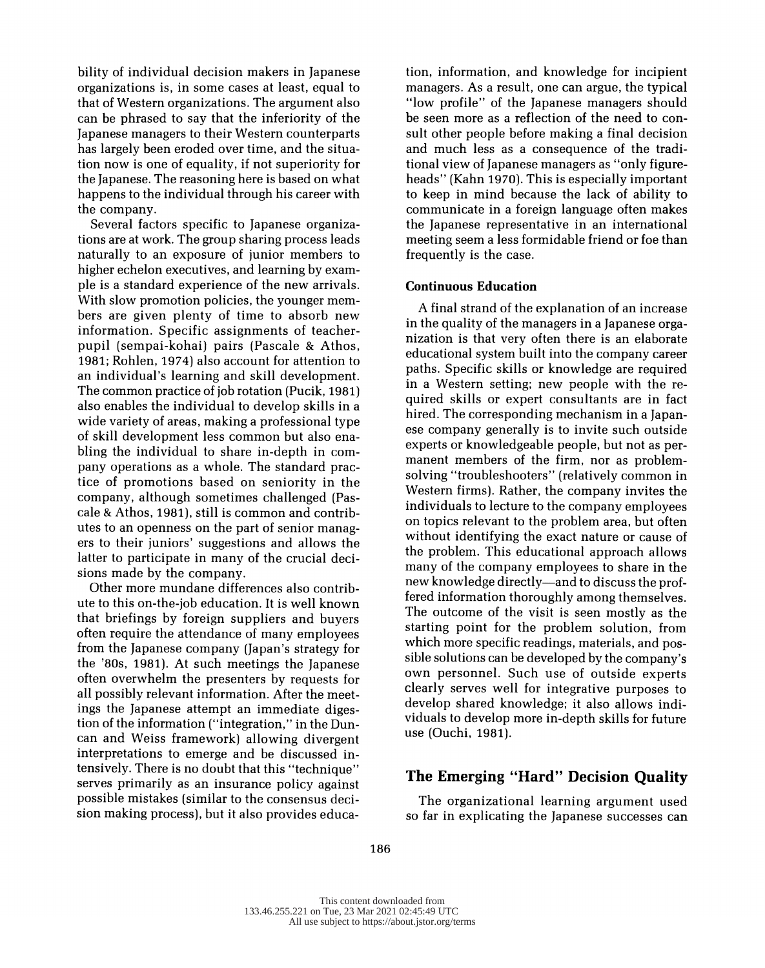bility of individual decision makers in Japanese organizations is, in some cases at least, equal to that of Western organizations. The argument also can be phrased to say that the inferiority of the Japanese managers to their Western counterparts has largely been eroded over time, and the situa tion now is one of equality, if not superiority for the Japanese. The reasoning here is based on what happens to the individual through his career with the company.

 Several factors specific to Japanese organiza tions are at work. The group sharing process leads naturally to an exposure of junior members to higher echelon executives, and learning by exam ple is a standard experience of the new arrivals. With slow promotion policies, the younger mem bers are given plenty of time to absorb new information. Specific assignments of teacher pupil (sempai-kohai) pairs (Pascale & Athos, 1981; Rohlen, 1974) also account for attention to an individual's learning and skill development. The common practice of job rotation (Pucik, 1981) also enables the individual to develop skills in a wide variety of areas, making a professional type of skill development less common but also ena bling the individual to share in-depth in com pany operations as a whole. The standard prac tice of promotions based on seniority in the company, although sometimes challenged (Pas cale & Athos, 1981), still is common and contrib utes to an openness on the part of senior manag ers to their juniors' suggestions and allows the latter to participate in many of the crucial deci sions made by the company.

 Other more mundane differences also contrib ute to this on-the-job education. It is well known that briefings by foreign suppliers and buyers often require the attendance of many employees from the Japanese company (Japan's strategy for the '80s, 1981). At such meetings the Japanese often overwhelm the presenters by requests for all possibly relevant information. After the meet ings the Japanese attempt an immediate diges tion of the information ("integration," in the Dun can and Weiss framework) allowing divergent interpretations to emerge and be discussed in tensively. There is no doubt that this "technique" serves primarily as an insurance policy against possible mistakes (similar to the consensus deci sion making process), but it also provides educa tion, information, and knowledge for incipient managers. As a result, one can argue, the typical "low profile" of the Japanese managers should be seen more as a reflection of the need to con sult other people before making a final decision and much less as a consequence of the tradi tional view of Japanese managers as "only figure heads" (Kahn 1970). This is especially important to keep in mind because the lack of ability to communicate in a foreign language often makes the Japanese representative in an international meeting seem a less formidable friend or foe than frequently is the case.

#### Continuous Education

 A final strand of the explanation of an increase in the quality of the managers in a Japanese orga nization is that very often there is an elaborate educational system built into the company career paths. Specific skills or knowledge are required in a Western setting; new people with the re quired skills or expert consultants are in fact hired. The corresponding mechanism in a Japan ese company generally is to invite such outside experts or knowledgeable people, but not as per manent members of the firm, nor as problem solving "troubleshooters" (relatively common in Western firms). Rather, the company invites the individuals to lecture to the company employees on topics relevant to the problem area, but often without identifying the exact nature or cause of the problem. This educational approach allows many of the company employees to share in the new knowledge directly—and to discuss the prof fered information thoroughly among themselves. The outcome of the visit is seen mostly as the starting point for the problem solution, from which more specific readings, materials, and pos sible solutions can be developed by the company's own personnel. Such use of outside experts clearly serves well for integrative purposes to develop shared knowledge; it also allows indi viduals to develop more in-depth skills for future use (Ouchi, 1981).

# The Emerging "Hard" Decision Quality

 The organizational learning argument used so far in explicating the Japanese successes can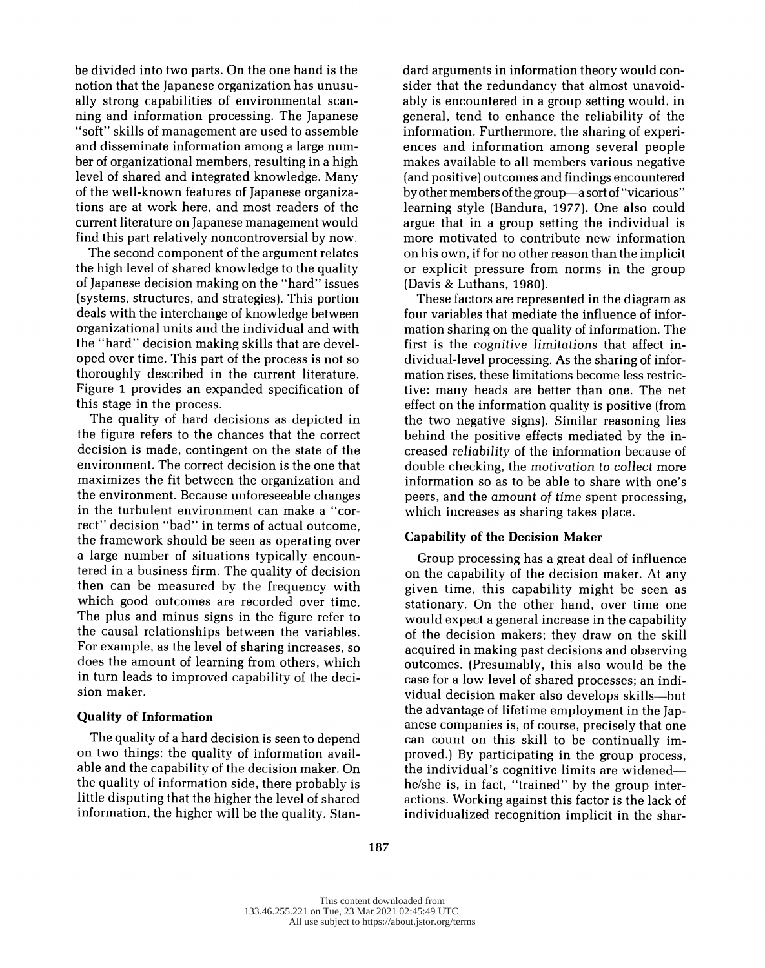be divided into two parts. On the one hand is the notion that the Japanese organization has unusu ally strong capabilities of environmental scan ning and information processing. The Japanese "soft" skills of management are used to assemble and disseminate information among a large num ber of organizational members, resulting in a high level of shared and integrated knowledge. Many of the well-known features of Japanese organiza tions are at work here, and most readers of the current literature on Japanese management would find this part relatively noncontroversial by now.

 The second component of the argument relates the high level of shared knowledge to the quality of Japanese decision making on the "hard" issues (systems, structures, and strategies). This portion deals with the interchange of knowledge between organizational units and the individual and with the "hard" decision making skills that are devel oped over time. This part of the process is not so thoroughly described in the current literature. Figure 1 provides an expanded specification of this stage in the process.

 The quality of hard decisions as depicted in the figure refers to the chances that the correct decision is made, contingent on the state of the environment. The correct decision is the one that maximizes the fit between the organization and the environment. Because unforeseeable changes in the turbulent environment can make a "cor rect" decision "bad" in terms of actual outcome, the framework should be seen as operating over a large number of situations typically encoun tered in a business firm. The quality of decision then can be measured by the frequency with which good outcomes are recorded over time. The plus and minus signs in the figure refer to the causal relationships between the variables. For example, as the level of sharing increases, so does the amount of learning from others, which in turn leads to improved capability of the deci sion maker.

#### Quality of Information

 The quality of a hard decision is seen to depend on two things: the quality of information avail able and the capability of the decision maker. On the quality of information side, there probably is little disputing that the higher the level of shared information, the higher will be the quality. Stan dard arguments in information theory would con sider that the redundancy that almost unavoid ably is encountered in a group setting would, in general, tend to enhance the reliability of the information. Furthermore, the sharing of experi ences and information among several people makes available to all members various negative (and positive) outcomes and findings encountered by other members of the group-a sort of "vicarious" learning style (Bandura, 1977). One also could argue that in a group setting the individual is more motivated to contribute new information on his own, if for no other reason than the implicit or explicit pressure from norms in the group (Davis & Luthans, 1980).

 These factors are represented in the diagram as four variables that mediate the influence of infor mation sharing on the quality of information. The first is the cognitive limitations that affect in dividual-level processing. As the sharing of infor mation rises, these limitations become less restric tive: many heads are better than one. The net effect on the information quality is positive (from the two negative signs). Similar reasoning lies behind the positive effects mediated by the in creased reliability of the information because of double checking, the motivation to collect more information so as to be able to share with one's peers, and the amount of time spent processing, which increases as sharing takes place.

#### Capability of the Decision Maker

 Group processing has a great deal of influence on the capability of the decision maker. At any given time, this capability might be seen as stationary. On the other hand, over time one would expect a general increase in the capability of the decision makers; they draw on the skill acquired in making past decisions and observing outcomes. (Presumably, this also would be the case for a low level of shared processes; an indi vidual decision maker also develops skills-but the advantage of lifetime employment in the Jap anese companies is, of course, precisely that one can count on this skill to be continually im proved.) By participating in the group process, the individual's cognitive limits are widened he/she is, in fact, "trained" by the group inter actions. Working against this factor is the lack of individualized recognition implicit in the shar-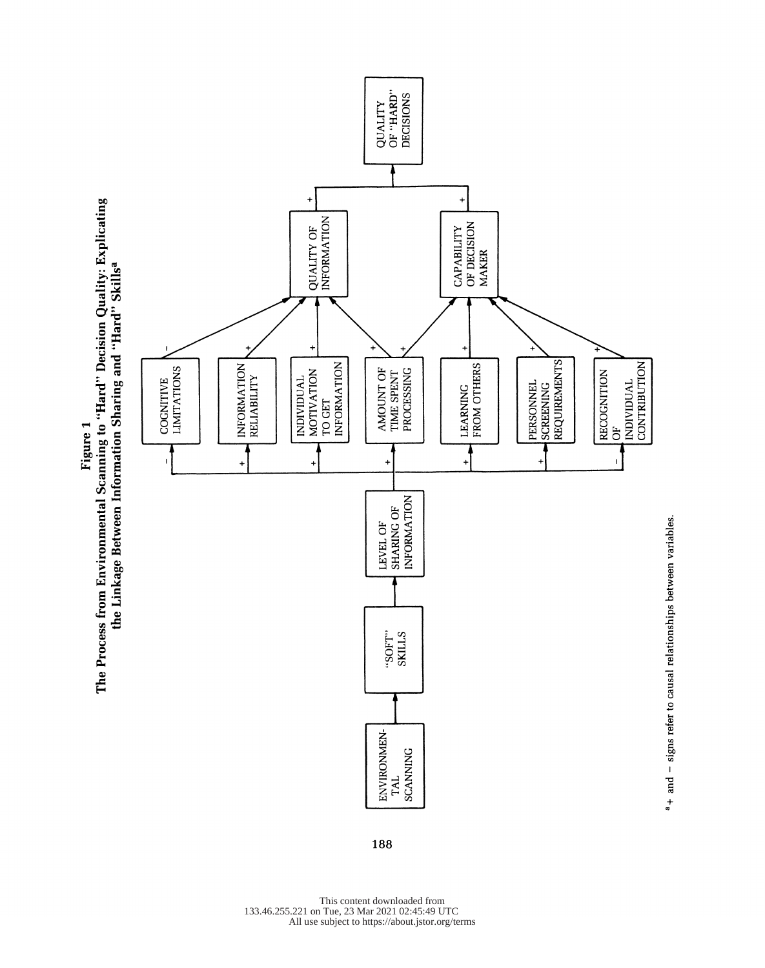

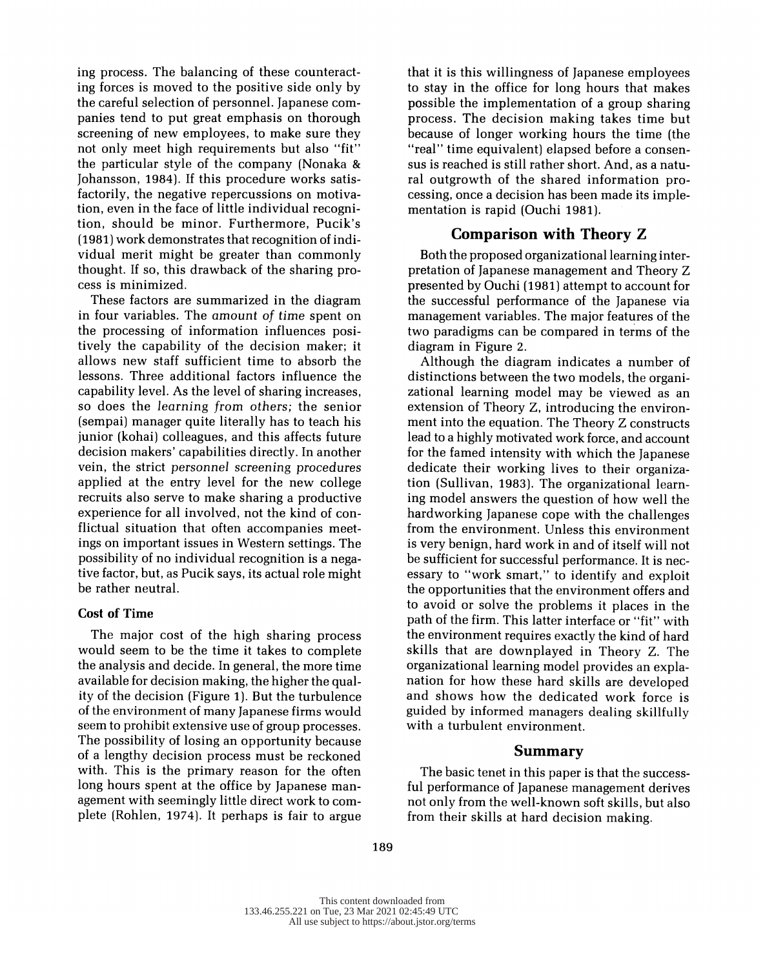ing process. The balancing of these counteract ing forces is moved to the positive side only by the careful selection of personnel. Japanese com panies tend to put great emphasis on thorough screening of new employees, to make sure they not only meet high requirements but also "fit" the particular style of the company (Nonaka & Johansson, 1984). If this procedure works satis factorily, the negative repercussions on motiva tion, even in the face of little individual recogni tion, should be minor. Furthermore, Pucik's (1981) work demonstrates that recognition of indi vidual merit might be greater than commonly thought. If so, this drawback of the sharing pro cess is minimized.

 These factors are summarized in the diagram in four variables. The amount of time spent on the processing of information influences posi tively the capability of the decision maker; it allows new staff sufficient time to absorb the lessons. Three additional factors influence the capability level. As the level of sharing increases, so does the learning from others; the senior (sempai) manager quite literally has to teach his junior (kohai) colleagues, and this affects future decision makers' capabilities directly. In another vein, the strict personnel screening procedures applied at the entry level for the new college recruits also serve to make sharing a productive experience for all involved, not the kind of con flictual situation that often accompanies meet ings on important issues in Western settings. The possibility of no individual recognition is a nega tive factor, but, as Pucik says, its actual role might be rather neutral.

#### Cost of Time

 The major cost of the high sharing process would seem to be the time it takes to complete the analysis and decide. In general, the more time available for decision making, the higher the qual ity of the decision (Figure 1). But the turbulence of the environment of many Japanese firms would seem to prohibit extensive use of group processes. The possibility of losing an opportunity because of a lengthy decision process must be reckoned with. This is the primary reason for the often long hours spent at the office by Japanese man agement with seemingly little direct work to com plete (Rohlen, 1974). It perhaps is fair to argue

 that it is this willingness of Japanese employees to stay in the office for long hours that makes possible the implementation of a group sharing process. The decision making takes time but because of longer working hours the time (the "real" time equivalent) elapsed before a consen sus is reached is still rather short. And, as a natu ral outgrowth of the shared information pro cessing, once a decision has been made its imple mentation is rapid (Ouchi 1981).

## Comparison with Theory Z

 Both the proposed organizational learning inter pretation of Japanese management and Theory Z presented by Ouchi (1981) attempt to account for the successful performance of the Japanese via management variables. The major features of the two paradigms can be compared in terms of the diagram in Figure 2.

 Although the diagram indicates a number of distinctions between the two models, the organi zational learning model may be viewed as an extension of Theory Z, introducing the environ ment into the equation. The Theory Z constructs lead to a highly motivated work force, and account for the famed intensity with which the Japanese dedicate their working lives to their organiza tion (Sullivan, 1983). The organizational learn ing model answers the question of how well the hardworking Japanese cope with the challenges from the environment. Unless this environment is very benign, hard work in and of itself will not be sufficient for successful performance. It is nec essary to "work smart," to identify and exploit the opportunities that the environment offers and to avoid or solve the problems it places in the path of the firm. This latter interface or "fit" with the environment requires exactly the kind of hard skills that are downplayed in Theory Z. The organizational learning model provides an expla nation for how these hard skills are developed and shows how the dedicated work force is guided by informed managers dealing skillfully with a turbulent environment.

## Summary

 The basic tenet in this paper is that the success ful performance of Japanese management derives not only from the well-known soft skills, but also from their skills at hard decision making.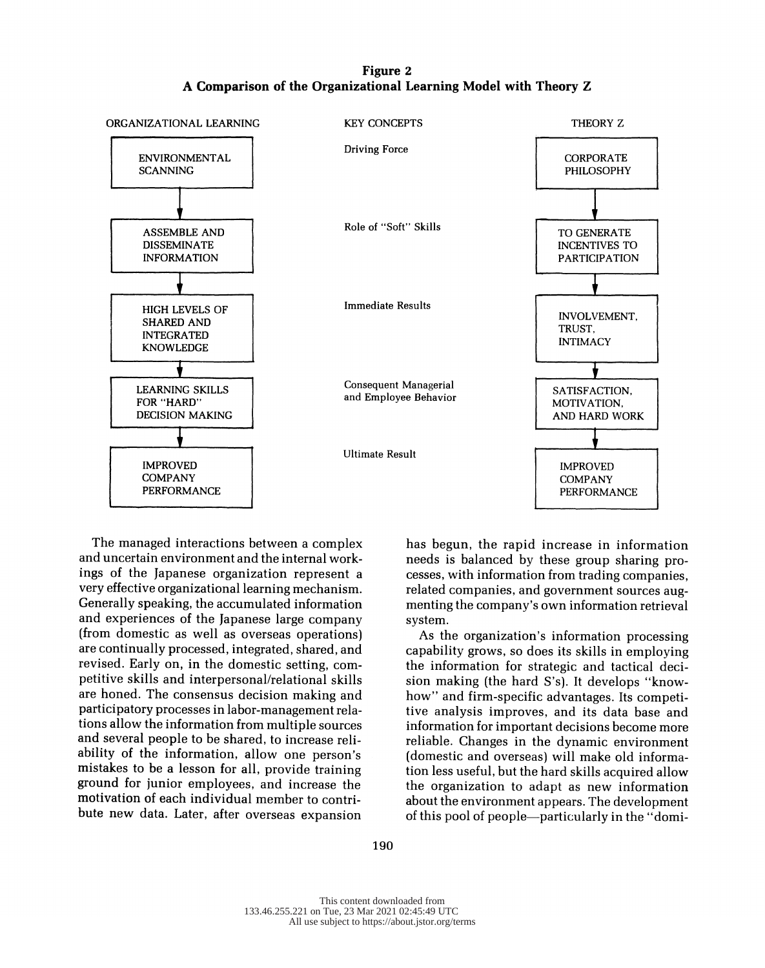## Figure 2 A Comparison of the Organizational Learning Model with Theory Z



The managed interactions between a complex<br>and uncertain environment and the internal work-<br>internal work-<br>internal work-<br>internal work-<br>internal work-<br>internal work-<br>internal work-<br>internal work-<br>internal work-<br>internal w ings of the Japanese organization represent a very effective organizational learning mechanism. Generally speaking, the accumulated information and experiences of the Japanese large company (from domestic as well as overseas operations) are continually processed, integrated, shared, and revised. Early on, in the domestic setting, com petitive skills and interpersonal/relational skills are honed. The consensus decision making and participatory processes in labor-management rela tions allow the information from multiple sources and several people to be shared, to increase reli ability of the information, allow one person's mistakes to be a lesson for all, provide training ground for junior employees, and increase the motivation of each individual member to contri bute new data. Later, after overseas expansion

 has begun, the rapid increase in information needs is balanced by these group sharing pro cesses, with information from trading companies, related companies, and government sources aug menting the company's own information retrieval system.

 As the organization's information processing capability grows, so does its skills in employing the information for strategic and tactical deci sion making (the hard S's). It develops "know how" and firm-specific advantages. Its competi tive analysis improves, and its data base and information for important decisions become more reliable. Changes in the dynamic environment (domestic and overseas) will make old informa tion less useful, but the hard skills acquired allow the organization to adapt as new information about the environment appears. The development of this pool of people-particularly in the "domi